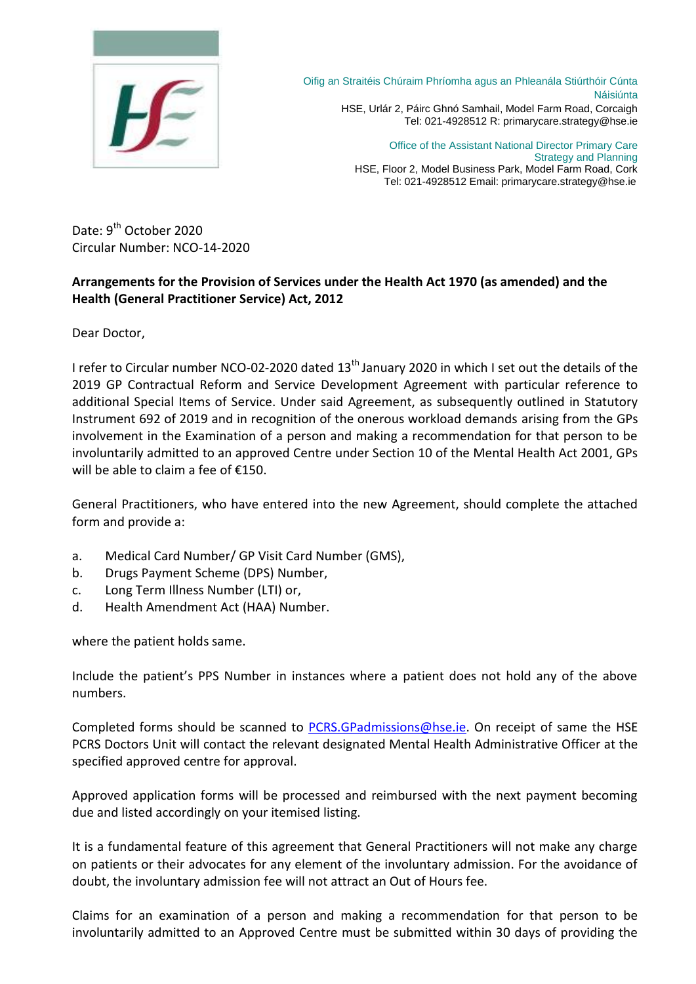

Oifig an Straitéis Chúraim Phríomha agus an Phleanála Stiúrthóir Cúnta Náisiúnta HSE, Urlár 2, Páirc Ghnó Samhail, Model Farm Road, Corcaigh Tel: 021-4928512 R: primarycare.strategy@hse.ie

> Office of the Assistant National Director Primary Care Strategy and Planning HSE, Floor 2, Model Business Park, Model Farm Road, Cork Tel: 021-4928512 Email: primarycare.strategy@hse.ie

Date: 9<sup>th</sup> October 2020 Circular Number: NCO-14-2020

## **Arrangements for the Provision of Services under the Health Act 1970 (as amended) and the Health (General Practitioner Service) Act, 2012**

Dear Doctor,

I refer to Circular number NCO-02-2020 dated 13<sup>th</sup> January 2020 in which I set out the details of the 2019 GP Contractual Reform and Service Development Agreement with particular reference to additional Special Items of Service. Under said Agreement, as subsequently outlined in Statutory Instrument 692 of 2019 and in recognition of the onerous workload demands arising from the GPs involvement in the Examination of a person and making a recommendation for that person to be involuntarily admitted to an approved Centre under Section 10 of the Mental Health Act 2001, GPs will be able to claim a fee of €150.

General Practitioners, who have entered into the new Agreement, should complete the attached form and provide a:

- a. Medical Card Number/ GP Visit Card Number (GMS),
- b. Drugs Payment Scheme (DPS) Number,
- c. Long Term Illness Number (LTI) or,
- d. Health Amendment Act (HAA) Number.

where the patient holds same.

Include the patient's PPS Number in instances where a patient does not hold any of the above numbers.

Completed forms should be scanned to [PCRS.GPadmissions@hse.ie.](mailto:PCRS.GPadmissions@hse.ie) On receipt of same the HSE PCRS Doctors Unit will contact the relevant designated Mental Health Administrative Officer at the specified approved centre for approval.

Approved application forms will be processed and reimbursed with the next payment becoming due and listed accordingly on your itemised listing.

It is a fundamental feature of this agreement that General Practitioners will not make any charge on patients or their advocates for any element of the involuntary admission. For the avoidance of doubt, the involuntary admission fee will not attract an Out of Hours fee.

Claims for an examination of a person and making a recommendation for that person to be involuntarily admitted to an Approved Centre must be submitted within 30 days of providing the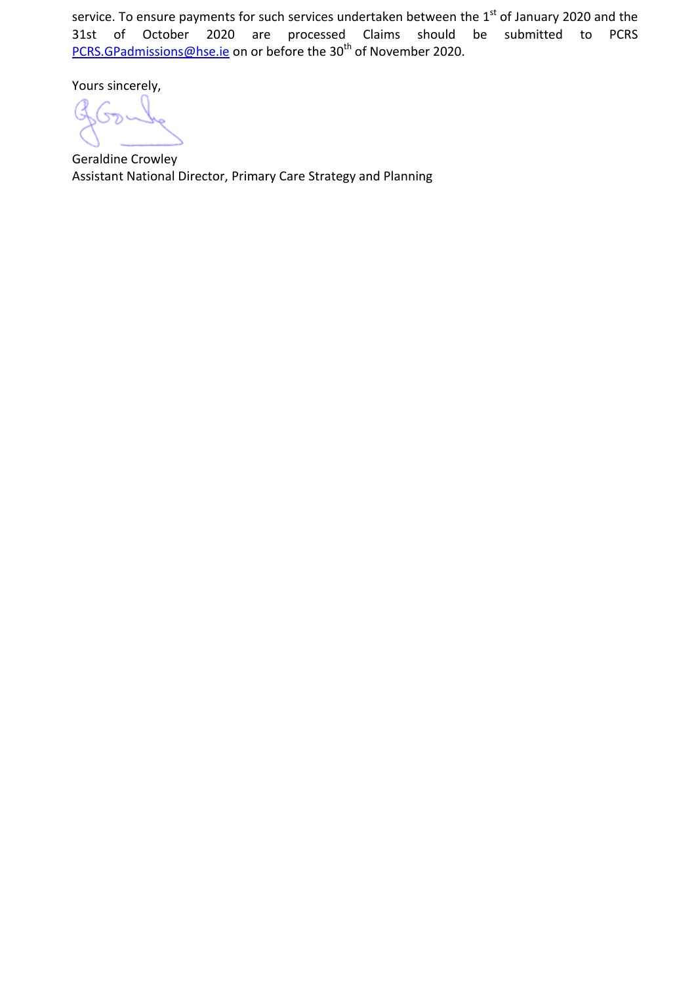service. To ensure payments for such services undertaken between the 1<sup>st</sup> of January 2020 and the<br>31st of October 2020 are processed Claims should be submitted to PCRS processed Claims should be submitted to PCRS [PCRS.GPadmissions@hse.ie](mailto:PCRS.GPadmissions@hse.ie) on or before the 30th of November 2020.

Yours sincerely,

Geraldine Crowley Assistant National Director, Primary Care Strategy and Planning